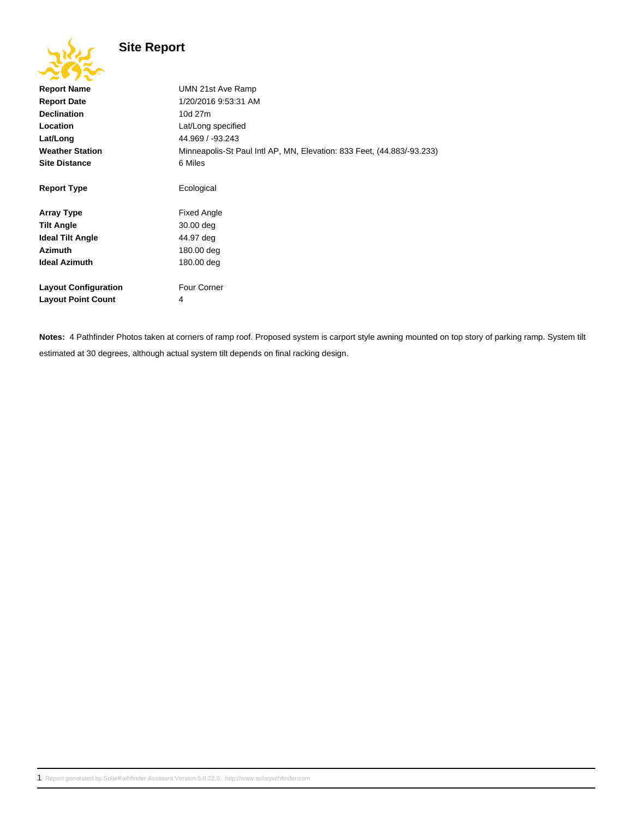## **Site Report**

| ZV JAV                      |                                                                        |
|-----------------------------|------------------------------------------------------------------------|
| <b>Report Name</b>          | UMN 21st Ave Ramp                                                      |
| <b>Report Date</b>          | 1/20/2016 9:53:31 AM                                                   |
| <b>Declination</b>          | 10d 27m                                                                |
| Location                    | Lat/Long specified                                                     |
| Lat/Long                    | 44.969 / -93.243                                                       |
| <b>Weather Station</b>      | Minneapolis-St Paul Intl AP, MN, Elevation: 833 Feet, (44.883/-93.233) |
| <b>Site Distance</b>        | 6 Miles                                                                |
|                             |                                                                        |
| <b>Report Type</b>          | Ecological                                                             |
|                             |                                                                        |
| <b>Array Type</b>           | <b>Fixed Angle</b>                                                     |
| <b>Tilt Angle</b>           | 30.00 deg                                                              |
| <b>Ideal Tilt Angle</b>     | 44.97 deg                                                              |
| <b>Azimuth</b>              | 180.00 deg                                                             |
| <b>Ideal Azimuth</b>        | 180.00 deg                                                             |
|                             |                                                                        |
| <b>Layout Configuration</b> | <b>Four Corner</b>                                                     |
| <b>Layout Point Count</b>   | 4                                                                      |
|                             |                                                                        |

**Notes:** 4 Pathfinder Photos taken at corners of ramp roof. Proposed system is carport style awning mounted on top story of parking ramp. System tilt estimated at 30 degrees, although actual system tilt depends on final racking design.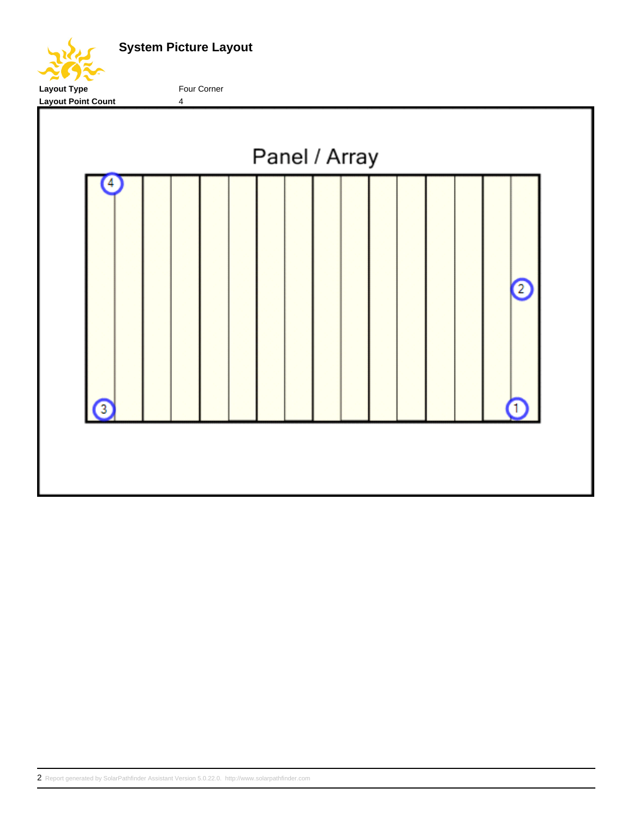

**System Picture Layout**

Layout Type **Four Corner** 

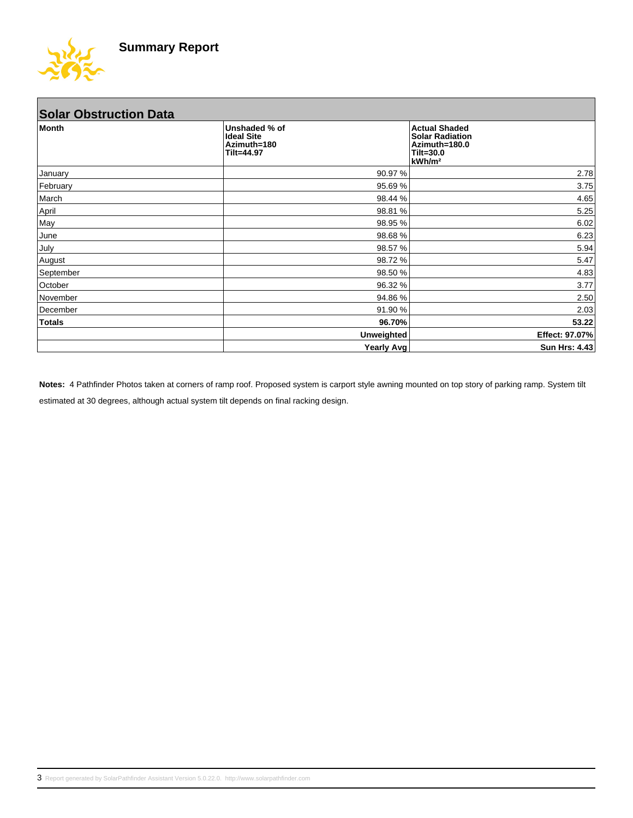

| <b>Solar Obstruction Data</b> |                                                                 |                   |                                                                                                    |
|-------------------------------|-----------------------------------------------------------------|-------------------|----------------------------------------------------------------------------------------------------|
| Month                         | Unshaded % of<br><b>Ideal Site</b><br>Azimuth=180<br>Tilt=44.97 |                   | <b>Actual Shaded</b><br><b>Solar Radiation</b><br>Azimuth=180.0<br>Tilt=30.0<br>kWh/m <sup>2</sup> |
| January                       |                                                                 | 90.97 %           | 2.78                                                                                               |
| February                      |                                                                 | 95.69 %           | 3.75                                                                                               |
| March                         |                                                                 | 98.44 %           | 4.65                                                                                               |
| April                         |                                                                 | 98.81 %           | 5.25                                                                                               |
| May                           |                                                                 | 98.95 %           | 6.02                                                                                               |
| June                          |                                                                 | 98.68%            | 6.23                                                                                               |
| July                          |                                                                 | 98.57 %           | 5.94                                                                                               |
| August                        |                                                                 | 98.72 %           | 5.47                                                                                               |
| September                     |                                                                 | 98.50 %           | 4.83                                                                                               |
| October                       |                                                                 | 96.32 %           | 3.77                                                                                               |
| November                      |                                                                 | 94.86 %           | 2.50                                                                                               |
| December                      |                                                                 | 91.90 %           | 2.03                                                                                               |
| <b>Totals</b>                 |                                                                 | 96.70%            | 53.22                                                                                              |
|                               |                                                                 | <b>Unweighted</b> | Effect: 97.07%                                                                                     |
|                               |                                                                 | <b>Yearly Avg</b> | <b>Sun Hrs: 4.43</b>                                                                               |

**Notes:** 4 Pathfinder Photos taken at corners of ramp roof. Proposed system is carport style awning mounted on top story of parking ramp. System tilt estimated at 30 degrees, although actual system tilt depends on final racking design.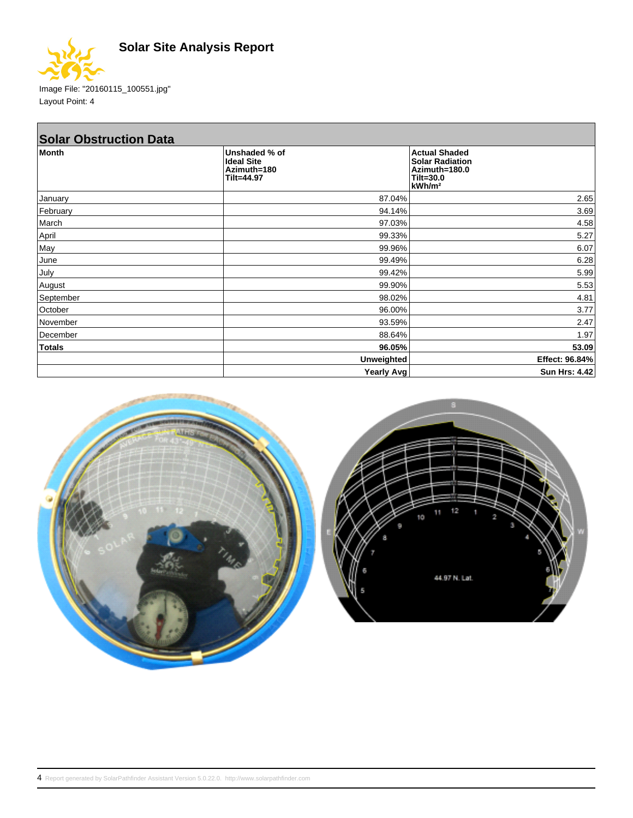



Image File: "20160115\_100551.jpg" Layout Point: 4

| <b>Solar Obstruction Data</b> |                                                                 |                                                                                                      |
|-------------------------------|-----------------------------------------------------------------|------------------------------------------------------------------------------------------------------|
| <b>Month</b>                  | Unshaded % of<br><b>Ideal Site</b><br>Azimuth=180<br>Tilt=44.97 | <b>Actual Shaded</b><br><b>Solar Radiation</b><br>Azimuth=180.0<br>$Tilt=30.0$<br>kWh/m <sup>2</sup> |
| January                       | 87.04%                                                          | 2.65                                                                                                 |
| February                      | 94.14%                                                          | 3.69                                                                                                 |
| March                         | 97.03%                                                          | 4.58                                                                                                 |
| April                         | 99.33%                                                          | 5.27                                                                                                 |
| May                           | 99.96%                                                          | 6.07                                                                                                 |
| June                          | 99.49%                                                          | 6.28                                                                                                 |
| July                          | 99.42%                                                          | 5.99                                                                                                 |
| August                        | 99.90%                                                          | 5.53                                                                                                 |
| September                     | 98.02%                                                          | 4.81                                                                                                 |
| October                       | 96.00%                                                          | 3.77                                                                                                 |
| November                      | 93.59%                                                          | 2.47                                                                                                 |
| December                      | 88.64%                                                          | 1.97                                                                                                 |
| <b>Totals</b>                 | 96.05%                                                          | 53.09                                                                                                |
|                               | <b>Unweighted</b>                                               | Effect: 96.84%                                                                                       |
|                               | Yearly Avg                                                      | Sun Hrs: 4.42                                                                                        |

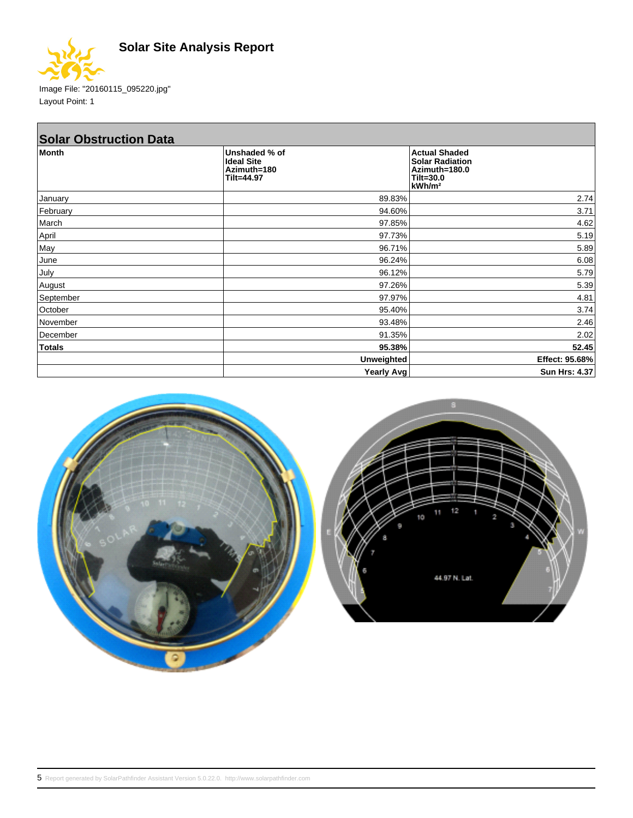

Image File: "20160115\_095220.jpg" Layout Point: 1

| <b>Solar Obstruction Data</b> |                                                                 |                                                                                                      |
|-------------------------------|-----------------------------------------------------------------|------------------------------------------------------------------------------------------------------|
| <b>Month</b>                  | Unshaded % of<br><b>Ideal Site</b><br>Azimuth=180<br>Tilt=44.97 | <b>Actual Shaded</b><br><b>Solar Radiation</b><br>Azimuth=180.0<br>$Tilt=30.0$<br>kWh/m <sup>2</sup> |
| January                       | 89.83%                                                          | 2.74                                                                                                 |
| February                      | 94.60%                                                          | 3.71                                                                                                 |
| March                         | 97.85%                                                          | 4.62                                                                                                 |
| April                         | 97.73%                                                          | 5.19                                                                                                 |
| May                           | 96.71%                                                          | 5.89                                                                                                 |
| June                          | 96.24%                                                          | 6.08                                                                                                 |
| July                          | 96.12%                                                          | 5.79                                                                                                 |
| August                        | 97.26%                                                          | 5.39                                                                                                 |
| September                     | 97.97%                                                          | 4.81                                                                                                 |
| October                       | 95.40%                                                          | 3.74                                                                                                 |
| November                      | 93.48%                                                          | 2.46                                                                                                 |
| December                      | 91.35%                                                          | 2.02                                                                                                 |
| Totals                        | 95.38%                                                          | 52.45                                                                                                |
|                               | <b>Unweighted</b>                                               | Effect: 95.68%                                                                                       |
|                               | Yearly Avg                                                      | Sun Hrs: 4.37                                                                                        |

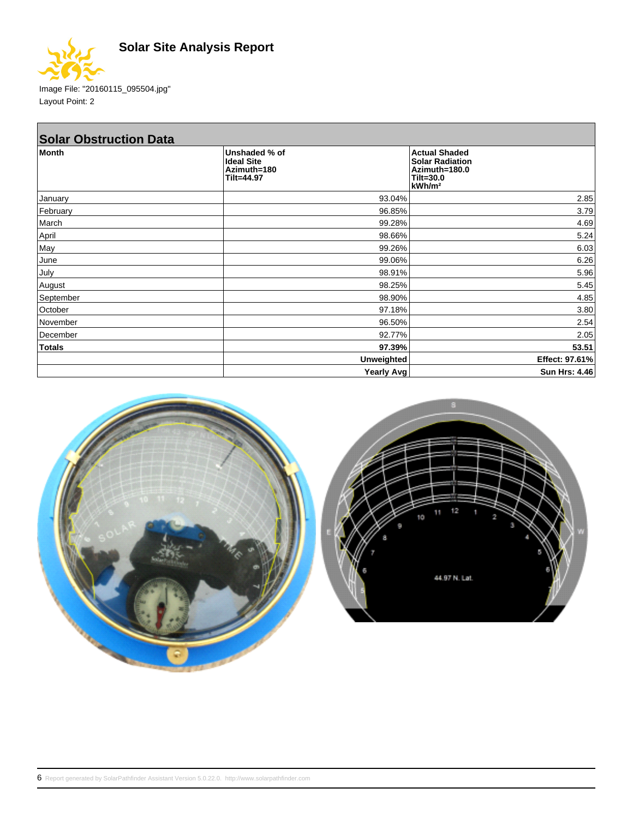

Image File: "20160115\_095504.jpg" Layout Point: 2

| <b>Solar Obstruction Data</b> |                                                                 |                                                                                                      |
|-------------------------------|-----------------------------------------------------------------|------------------------------------------------------------------------------------------------------|
| <b>Month</b>                  | Unshaded % of<br><b>Ideal Site</b><br>Azimuth=180<br>Tilt=44.97 | <b>Actual Shaded</b><br><b>Solar Radiation</b><br>Azimuth=180.0<br>$Tilt=30.0$<br>kWh/m <sup>2</sup> |
| January                       | 93.04%                                                          | 2.85                                                                                                 |
| February                      | 96.85%                                                          | 3.79                                                                                                 |
| March                         | 99.28%                                                          | 4.69                                                                                                 |
| April                         | 98.66%                                                          | 5.24                                                                                                 |
| May                           | 99.26%                                                          | 6.03                                                                                                 |
| June                          | 99.06%                                                          | 6.26                                                                                                 |
| July                          | 98.91%                                                          | 5.96                                                                                                 |
| August                        | 98.25%                                                          | 5.45                                                                                                 |
| September                     | 98.90%                                                          | 4.85                                                                                                 |
| October                       | 97.18%                                                          | 3.80                                                                                                 |
| November                      | 96.50%                                                          | 2.54                                                                                                 |
| December                      | 92.77%                                                          | 2.05                                                                                                 |
| Totals                        | 97.39%                                                          | 53.51                                                                                                |
|                               | <b>Unweighted</b>                                               | Effect: 97.61%                                                                                       |
|                               | Yearly Avg                                                      | Sun Hrs: 4.46                                                                                        |